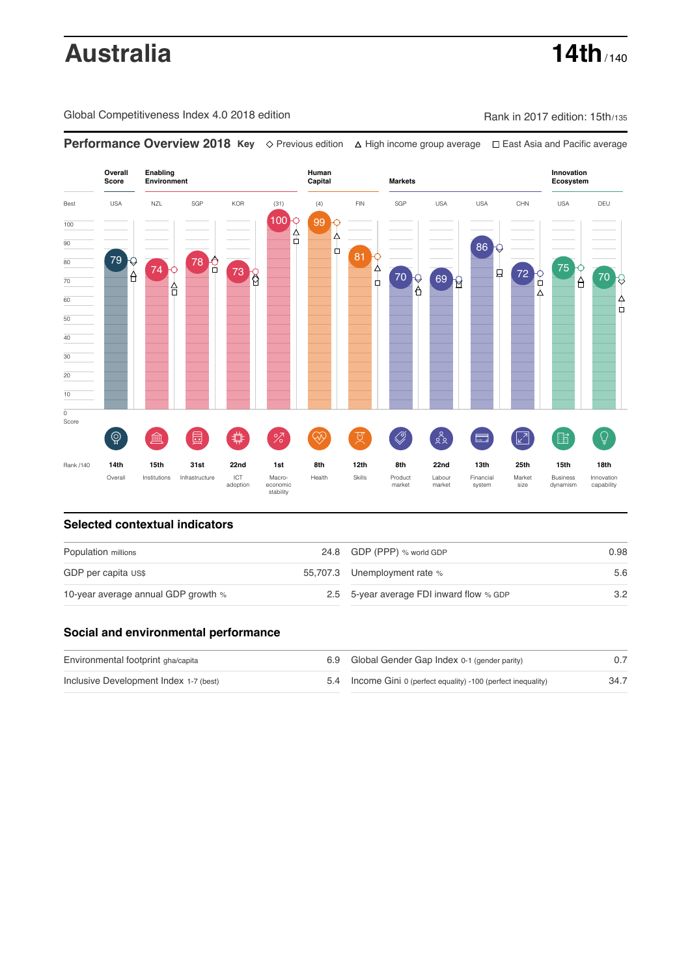# **Australia 14th**  $\frac{14}{140}$

Global Competitiveness Index 4.0 2018 edition Company Rank in 2017 edition: 15th/135

**Overall Human Innovation Enabling Environment Capital Markets Score Ecosystem** Best USA NZL SGP KOR (31) (4) FIN SGP USA USA CHN USA DEU 100 99 99 9 100  $\overline{90}$  $\frac{1}{\Box}$ 86 81 0 79 C 80 78 <u>0</u>  $\frac{75}{9}$ 74 **73** 8  $\begin{array}{c}\n 72 \\
\circ \\
0 \\
\circ \\
4\n \end{array}$ ₫  $70<sub>2</sub>$ A 70 8 69 8 70 ò 슈 60  $\frac{1}{\pi}$ 50 40 30 20 10  $\overline{\text{o}}$ Score ៍{៌្ម}  $\oslash$  $28$  $\overline{Q}$ **ledge (** ö %)(  $\circledcirc$  ( ਸ਼ੁ 击  $\sqrt{2}$ 脂 E Rank /140 **14th 15th 31st 22nd 1st 8th 12th 8th 22nd 13th 25th 15th 18th** Overall Institutions Infrastructure ICT<br>adoption Market adoption Macro- economic stability Health Skills Product market Labour<br>market Financial system Business dynamism Innovation capability size

**Performance Overview 2018 Key** Previous edition High income group average East Asia and Pacific average

### **Selected contextual indicators**

| Population millions                 |  | 24.8 GDP (PPP) % world GDP               | 0.98 |  |
|-------------------------------------|--|------------------------------------------|------|--|
| GDP per capita US\$                 |  | 55,707.3 Unemployment rate %             | 5.6  |  |
| 10-year average annual GDP growth % |  | 2.5 5-year average FDI inward flow % GDP | 3.2  |  |

### **Social and environmental performance**

| Environmental footprint gha/capita     | 6.9 Global Gender Gap Index 0-1 (gender parity)                |      |
|----------------------------------------|----------------------------------------------------------------|------|
| Inclusive Development Index 1-7 (best) | 5.4 Income Gini 0 (perfect equality) -100 (perfect inequality) | 34.7 |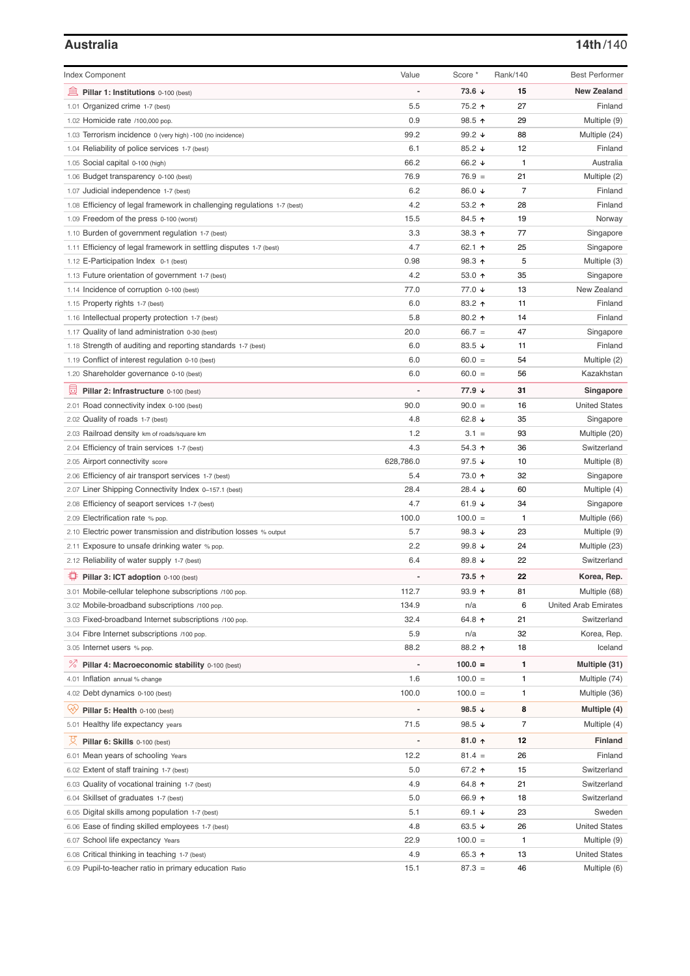# **Australia 14th**/140

| <b>Index Component</b>                                                   | Value                        | Score *              | Rank/140       | <b>Best Performer</b>       |
|--------------------------------------------------------------------------|------------------------------|----------------------|----------------|-----------------------------|
|                                                                          |                              | $73.6 \; \downarrow$ | 15             | <b>New Zealand</b>          |
| Pillar 1: Institutions 0-100 (best)<br>1.01 Organized crime 1-7 (best)   | 5.5                          | 75.2 ↑               | 27             | Finland                     |
| 1.02 Homicide rate /100,000 pop.                                         | 0.9                          | 98.5 ↑               | 29             | Multiple (9)                |
| 1.03 Terrorism incidence 0 (very high) -100 (no incidence)               | 99.2                         | 99.2 $\sqrt{ }$      | 88             | Multiple (24)               |
| 1.04 Reliability of police services 1-7 (best)                           | 6.1                          | 85.2 $\sqrt{ }$      | 12             | Finland                     |
| 1.05 Social capital 0-100 (high)                                         | 66.2                         | 66.2 ↓               | 1              | Australia                   |
| 1.06 Budget transparency 0-100 (best)                                    | 76.9                         | $76.9 =$             | 21             | Multiple (2)                |
| 1.07 Judicial independence 1-7 (best)                                    | 6.2                          | 86.0 ↓               | $\overline{7}$ | Finland                     |
| 1.08 Efficiency of legal framework in challenging regulations 1-7 (best) | 4.2                          | 53.2 $\uparrow$      | 28             | Finland                     |
| 1.09 Freedom of the press 0-100 (worst)                                  | 15.5                         | 84.5 ↑               | 19             | Norway                      |
| 1.10 Burden of government regulation 1-7 (best)                          | 3.3                          | 38.3 ↑               | 77             | Singapore                   |
| 1.11 Efficiency of legal framework in settling disputes 1-7 (best)       | 4.7                          | 62.1 $\uparrow$      | 25             | Singapore                   |
| 1.12 E-Participation Index 0-1 (best)                                    | 0.98                         | 98.3 ↑               | 5              | Multiple (3)                |
| 1.13 Future orientation of government 1-7 (best)                         | 4.2                          | 53.0 $\uparrow$      | 35             | Singapore                   |
| 1.14 Incidence of corruption 0-100 (best)                                | 77.0                         | 77.0 ↓               | 13             | New Zealand                 |
| 1.15 Property rights 1-7 (best)                                          | 6.0                          | 83.2 ↑               | 11             | Finland                     |
| 1.16 Intellectual property protection 1-7 (best)                         | 5.8                          | 80.2 $\uparrow$      | 14             | Finland                     |
| 1.17 Quality of land administration 0-30 (best)                          | 20.0                         | $66.7 =$             | 47             | Singapore                   |
| 1.18 Strength of auditing and reporting standards 1-7 (best)             | 6.0                          | 83.5 $\sqrt{ }$      | 11             | Finland                     |
| 1.19 Conflict of interest regulation 0-10 (best)                         | 6.0                          | $60.0 =$             | 54             | Multiple (2)                |
| 1.20 Shareholder governance 0-10 (best)                                  | 6.0                          | $60.0 =$             | 56             | Kazakhstan                  |
| Pillar 2: Infrastructure 0-100 (best)                                    |                              | 77.9 ↓               | 31             | Singapore                   |
| 2.01 Road connectivity index 0-100 (best)                                | 90.0                         | $90.0 =$             | 16             | <b>United States</b>        |
| 2.02 Quality of roads 1-7 (best)                                         | 4.8                          | 62.8 $\sqrt{ }$      | 35             | Singapore                   |
| 2.03 Railroad density km of roads/square km                              | 1.2                          | $3.1 =$              | 93             | Multiple (20)               |
| 2.04 Efficiency of train services 1-7 (best)                             | 4.3                          | 54.3 ↑               | 36             | Switzerland                 |
| 2.05 Airport connectivity score                                          | 628,786.0                    | 97.5 $\sqrt{ }$      | 10             | Multiple (8)                |
| 2.06 Efficiency of air transport services 1-7 (best)                     | 5.4                          | 73.0 个               | 32             | Singapore                   |
| 2.07 Liner Shipping Connectivity Index 0-157.1 (best)                    | 28.4                         | 28.4 $\sqrt{ }$      | 60             | Multiple (4)                |
| 2.08 Efficiency of seaport services 1-7 (best)                           | 4.7                          | 61.9 $\sqrt{ }$      | 34             | Singapore                   |
| 2.09 Electrification rate % pop.                                         | 100.0                        | $100.0 =$            | 1              | Multiple (66)               |
| 2.10 Electric power transmission and distribution losses % output        | 5.7                          | 98.3 $\sqrt{ }$      | 23             | Multiple (9)                |
| 2.11 Exposure to unsafe drinking water % pop.                            | 2.2                          | 99.8 $\sqrt{ }$      | 24             | Multiple (23)               |
| 2.12 Reliability of water supply 1-7 (best)                              | 6.4                          | 89.8 $\sqrt{ }$      | 22             | Switzerland                 |
| Pillar 3: ICT adoption 0-100 (best)                                      |                              | 73.5 ↑               | 22             | Korea, Rep.                 |
| 3.01 Mobile-cellular telephone subscriptions /100 pop.                   | 112.7                        | $93.9$ ↑             | 81             | Multiple (68)               |
| 3.02 Mobile-broadband subscriptions /100 pop.                            | 134.9                        | n/a                  | 6              | <b>United Arab Emirates</b> |
| 3.03 Fixed-broadband Internet subscriptions /100 pop.                    | 32.4                         | 64.8 ↑               | 21             | Switzerland                 |
| 3.04 Fibre Internet subscriptions /100 pop.                              | 5.9                          | n/a                  | 32             | Korea, Rep.                 |
| 3.05 Internet users % pop.                                               | 88.2                         | 88.2 ↑               | 18             | Iceland                     |
| ℅<br>Pillar 4: Macroeconomic stability 0-100 (best)                      | $\qquad \qquad \blacksquare$ | $100.0 =$            | 1              | Multiple (31)               |
| 4.01 Inflation annual % change                                           | 1.6                          | $100.0 =$            | 1              | Multiple (74)               |
| 4.02 Debt dynamics 0-100 (best)                                          | 100.0                        | $100.0 =$            | 1              | Multiple (36)               |
|                                                                          |                              |                      |                |                             |
| Qiy<br>Pillar 5: Health 0-100 (best)                                     |                              | 98.5 ↓               | 8              | Multiple (4)                |
| 5.01 Healthy life expectancy years                                       | 71.5                         | 98.5 $\sqrt{ }$      | 7              | Multiple (4)                |
| 섯<br>Pillar 6: Skills 0-100 (best)                                       | $\overline{a}$               | 81.0 $\uparrow$      | 12             | <b>Finland</b>              |
| 6.01 Mean years of schooling Years                                       | 12.2                         | $81.4 =$             | 26             | Finland                     |
| 6.02 Extent of staff training 1-7 (best)                                 | 5.0                          | 67.2 ↑               | 15             | Switzerland                 |
| 6.03 Quality of vocational training 1-7 (best)                           | 4.9                          | 64.8 ↑               | 21             | Switzerland                 |
| 6.04 Skillset of graduates 1-7 (best)                                    | 5.0                          | 66.9 ↑               | 18             | Switzerland                 |
| 6.05 Digital skills among population 1-7 (best)                          | 5.1                          | 69.1 ↓               | 23             | Sweden                      |
| 6.06 Ease of finding skilled employees 1-7 (best)                        | 4.8                          | 63.5 $\sqrt{ }$      | 26             | <b>United States</b>        |
| 6.07 School life expectancy Years                                        | 22.9                         | $100.0 =$            | 1              | Multiple (9)                |
| 6.08 Critical thinking in teaching 1-7 (best)                            | 4.9                          | 65.3 $\uparrow$      | 13             | <b>United States</b>        |
| 6.09 Pupil-to-teacher ratio in primary education Ratio                   | 15.1                         | $87.3 =$             | 46             | Multiple (6)                |